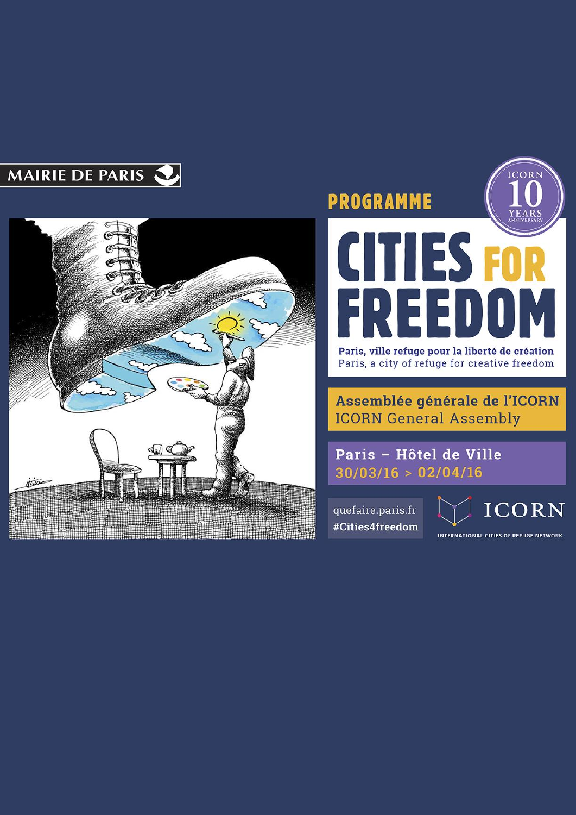



# ORN **PROGRAMME** CITIES FO  $\blacksquare$ 5

Paris, ville refuge pour la liberté de création Paris, a city of refuge for creative freedom

Assemblée générale de l'ICORN **ICORN General Assembly** 

Paris - Hôtel de Ville  $30/03/16 > 02/04/16$ 

quefaire.paris.fr #Cities4freedom



INTERNATIONAL CITIES OF REFUGE NETWORK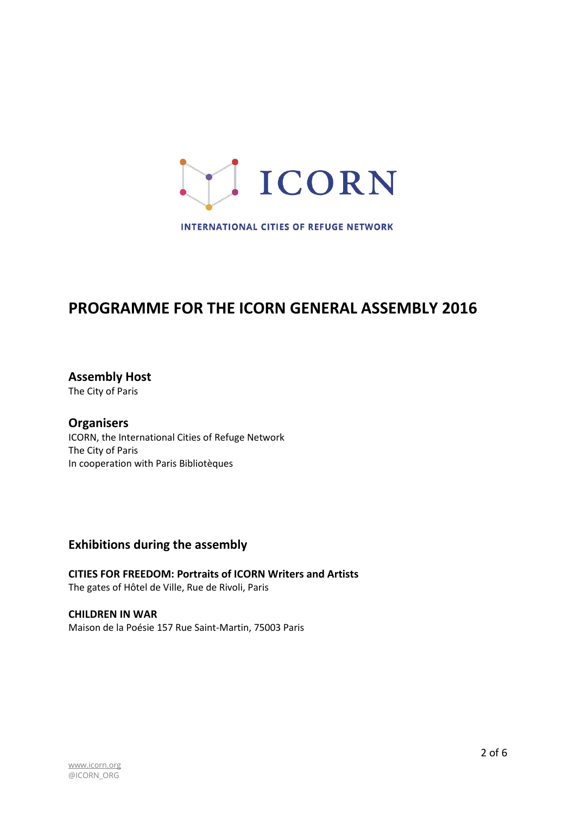

**INTERNATIONAL CITIES OF REFUGE NETWORK** 

# **PROGRAMME FOR THE ICORN GENERAL ASSEMBLY 2016**

**Assembly Host** The City of Paris

**Organisers** ICORN, the International Cities of Refuge Network The City of Paris In cooperation with Paris Bibliotèques

# **Exhibitions during the assembly**

**CITIES FOR FREEDOM: Portraits of ICORN Writers and Artists**  The gates of Hôtel de Ville, Rue de Rivoli, Paris

**CHILDREN IN WAR** Maison de la Poésie 157 Rue Saint-Martin, 75003 Paris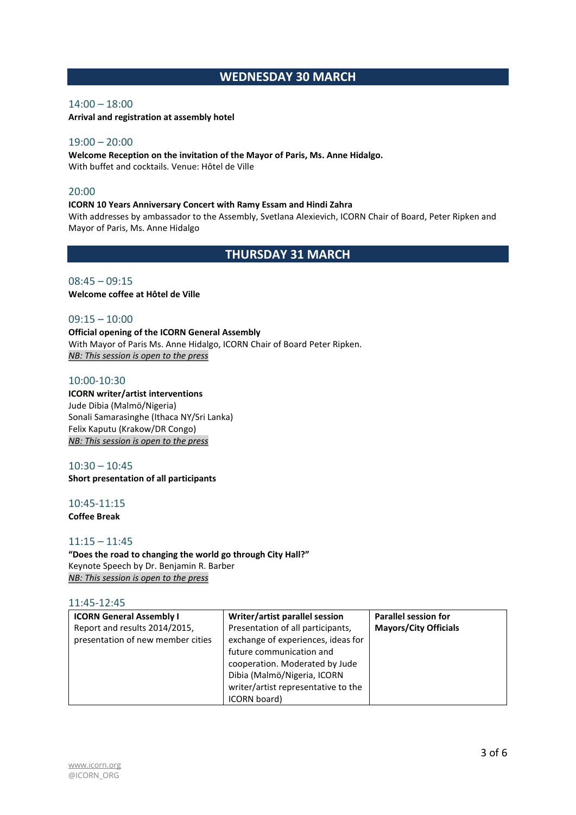# **WEDNESDAY 30 MARCH**

# 14:00 – 18:00

**Arrival and registration at assembly hotel**

# 19:00 – 20:00

**Welcome Reception on the invitation of the Mayor of Paris, Ms. Anne Hidalgo.**  With buffet and cocktails. Venue: Hôtel de Ville

# $20:00$

#### **ICORN 10 Years Anniversary Concert with Ramy Essam and Hindi Zahra**

With addresses by ambassador to the Assembly, Svetlana Alexievich, ICORN Chair of Board, Peter Ripken and Mayor of Paris, Ms. Anne Hidalgo

**THURSDAY 31 MARCH**

# $08:45 - 09:15$ **Welcome coffee at Hôtel de Ville**

## $09:15 - 10:00$

**Official opening of the ICORN General Assembly**  With Mayor of Paris Ms. Anne Hidalgo, ICORN Chair of Board Peter Ripken. *NB: This session is open to the press*

# 10:00-10:30

#### **ICORN writer/artist interventions** Jude Dibia (Malmö/Nigeria)

Sonali Samarasinghe (Ithaca NY/Sri Lanka) Felix Kaputu (Krakow/DR Congo) *NB: This session is open to the press*

# $10:30 - 10:45$

**Short presentation of all participants**

# 10:45-11:15

**Coffee Break**

#### 11:15 – 11:45

# **"Does the road to changing the world go through City Hall?"**  Keynote Speech by Dr. Benjamin R. Barber *NB: This session is open to the press*

#### 11:45-12:45

| <b>ICORN General Assembly I</b>                                    | Writer/artist parallel session                                                                                                                                                                                              | <b>Parallel session for</b>  |
|--------------------------------------------------------------------|-----------------------------------------------------------------------------------------------------------------------------------------------------------------------------------------------------------------------------|------------------------------|
| Report and results 2014/2015,<br>presentation of new member cities | Presentation of all participants,<br>exchange of experiences, ideas for<br>future communication and<br>cooperation. Moderated by Jude<br>Dibia (Malmö/Nigeria, ICORN<br>writer/artist representative to the<br>ICORN board) | <b>Mayors/City Officials</b> |
|                                                                    |                                                                                                                                                                                                                             |                              |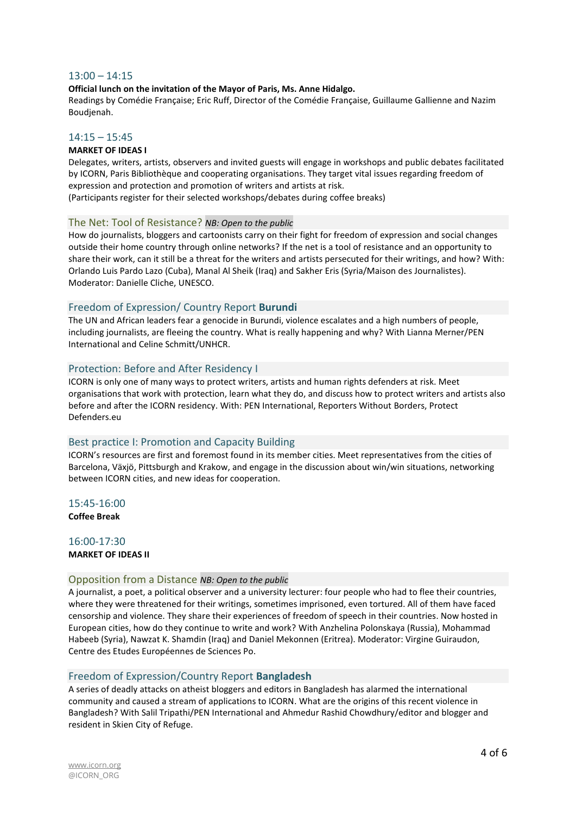#### 13:00 – 14:15

#### **Official lunch on the invitation of the Mayor of Paris, Ms. Anne Hidalgo.**

Readings by Comédie Française; Eric Ruff, Director of the Comédie Française, Guillaume Gallienne and Nazim Boudjenah.

#### $14:15 - 15:45$

#### **MARKET OF IDEAS I**

Delegates, writers, artists, observers and invited guests will engage in workshops and public debates facilitated by ICORN, Paris Bibliothèque and cooperating organisations. They target vital issues regarding freedom of expression and protection and promotion of writers and artists at risk.

(Participants register for their selected workshops/debates during coffee breaks)

#### The Net: Tool of Resistance? *NB: Open to the public*

How do journalists, bloggers and cartoonists carry on their fight for freedom of expression and social changes outside their home country through online networks? If the net is a tool of resistance and an opportunity to share their work, can it still be a threat for the writers and artists persecuted for their writings, and how? With: Orlando Luis Pardo Lazo (Cuba), Manal Al Sheik (Iraq) and Sakher Eris (Syria/Maison des Journalistes). Moderator: Danielle Cliche, UNESCO.

#### Freedom of Expression/ Country Report **Burundi**

The UN and African leaders fear a genocide in Burundi, violence escalates and a high numbers of people, including journalists, are fleeing the country. What is really happening and why? With Lianna Merner/PEN International and Celine Schmitt/UNHCR.

#### Protection: Before and After Residency I

ICORN is only one of many ways to protect writers, artists and human rights defenders at risk. Meet organisations that work with protection, learn what they do, and discuss how to protect writers and artists also before and after the ICORN residency. With: PEN International, Reporters Without Borders, Protect Defenders.eu

#### Best practice I: Promotion and Capacity Building

ICORN's resources are first and foremost found in its member cities. Meet representatives from the cities of Barcelona, Växjö, Pittsburgh and Krakow, and engage in the discussion about win/win situations, networking between ICORN cities, and new ideas for cooperation.

15:45-16:00 **Coffee Break** 

#### 16:00-17:30 **MARKET OF IDEAS II**

#### Opposition from a Distance *NB: Open to the public*

A journalist, a poet, a political observer and a university lecturer: four people who had to flee their countries, where they were threatened for their writings, sometimes imprisoned, even tortured. All of them have faced censorship and violence. They share their experiences of freedom of speech in their countries. Now hosted in European cities, how do they continue to write and work? With Anzhelina Polonskaya (Russia), Mohammad Habeeb (Syria), Nawzat K. Shamdin (Iraq) and Daniel Mekonnen (Eritrea). Moderator: Virgine Guiraudon, Centre des Etudes Européennes de Sciences Po.

#### Freedom of Expression/Country Report **Bangladesh**

A series of deadly attacks on atheist bloggers and editors in Bangladesh has alarmed the international community and caused a stream of applications to ICORN. What are the origins of this recent violence in Bangladesh? With Salil Tripathi/PEN International and Ahmedur Rashid Chowdhury/editor and blogger and resident in Skien City of Refuge.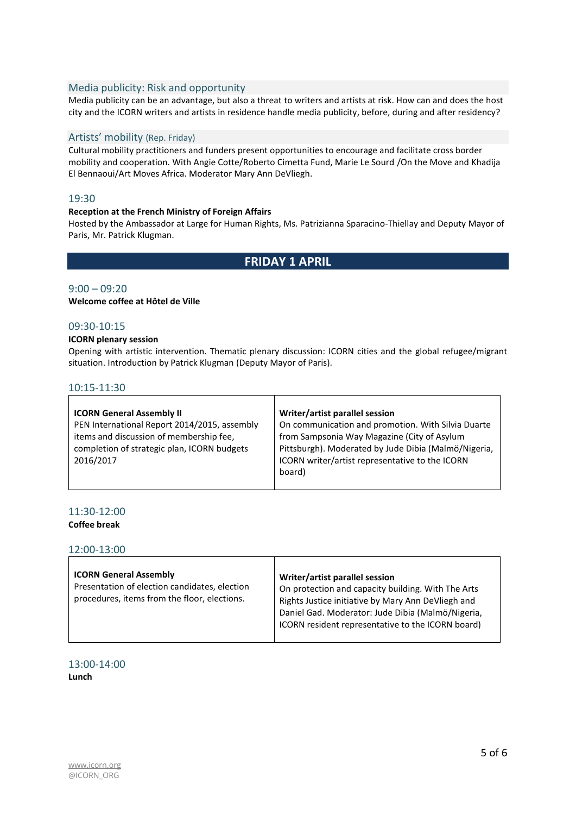# Media publicity: Risk and opportunity

Media publicity can be an advantage, but also a threat to writers and artists at risk. How can and does the host city and the ICORN writers and artists in residence handle media publicity, before, during and after residency?

#### Artists' mobility (Rep. Friday)

Cultural mobility practitioners and funders present opportunities to encourage and facilitate cross border mobility and cooperation. With Angie Cotte/Roberto Cimetta Fund, Marie Le Sourd /On the Move and Khadija El Bennaoui/Art Moves Africa. Moderator Mary Ann DeVliegh.

#### 19:30

#### **Reception at the French Ministry of Foreign Affairs**

Hosted by the Ambassador at Large for Human Rights, Ms. Patrizianna Sparacino-Thiellay and Deputy Mayor of Paris, Mr. Patrick Klugman.

# **FRIDAY 1 APRIL**

## $9:00 - 09:20$

**Welcome coffee at Hôtel de Ville** 

# 09:30-10:15

#### **ICORN plenary session**

Opening with artistic intervention. Thematic plenary discussion: ICORN cities and the global refugee/migrant situation. Introduction by Patrick Klugman (Deputy Mayor of Paris).

#### 10:15-11:30

| <b>ICORN General Assembly II</b>             | Writer/artist parallel session                       |
|----------------------------------------------|------------------------------------------------------|
| PEN International Report 2014/2015, assembly | On communication and promotion. With Silvia Duarte   |
| items and discussion of membership fee,      | from Sampsonia Way Magazine (City of Asylum          |
| completion of strategic plan, ICORN budgets  | Pittsburgh). Moderated by Jude Dibia (Malmö/Nigeria, |
| 2016/2017                                    | ICORN writer/artist representative to the ICORN      |
|                                              | board)                                               |
|                                              |                                                      |

# 11:30-12:00

**Coffee break** 

12:00-13:00

| <b>ICORN General Assembly</b><br>Presentation of election candidates, election<br>procedures, items from the floor, elections. | Writer/artist parallel session<br>On protection and capacity building. With The Arts<br>Rights Justice initiative by Mary Ann DeVliegh and<br>Daniel Gad. Moderator: Jude Dibia (Malmö/Nigeria,<br>ICORN resident representative to the ICORN board) |
|--------------------------------------------------------------------------------------------------------------------------------|------------------------------------------------------------------------------------------------------------------------------------------------------------------------------------------------------------------------------------------------------|
|--------------------------------------------------------------------------------------------------------------------------------|------------------------------------------------------------------------------------------------------------------------------------------------------------------------------------------------------------------------------------------------------|

13:00-14:00 **Lunch**